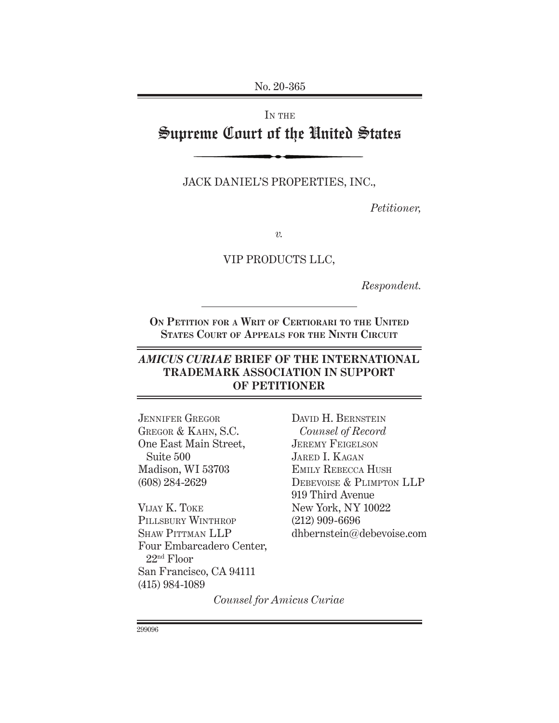No. 20-365

# IN THE Supreme Court of the United States

Jack Daniel's Properties, Inc.,

*Petitioner,*

*v.*

VIP PRODUCTS LLC,

*Respondent.*

**On Petition for a Writ of Certiorari to the United States Court of Appeals for the Ninth Circuit**

## *AMICUS CURIAE* **BRIEF OF THE INTERNATIONAL TRADEMARK ASSOCIATION IN SUPPORT OF PETITIONER**

Jennifer Gregor Gregor & Kahn, S.C. One East Main Street, Suite 500 Madison, WI 53703 (608) 284-2629

Vijay K. Toke PILLSBURY WINTHROP SHAW PITTMAN LLP Four Embarcadero Center, 22nd Floor San Francisco, CA 94111 (415) 984-1089

DAVID H. BERNSTEIN *Counsel of Record* JEREMY FEIGELSON JARED I. KAGAN Emily Rebecca Hush Debevoise & Plimpton LLP 919 Third Avenue New York, NY 10022 (212) 909-6696 dhbernstein@debevoise.com

*Counsel for Amicus Curiae*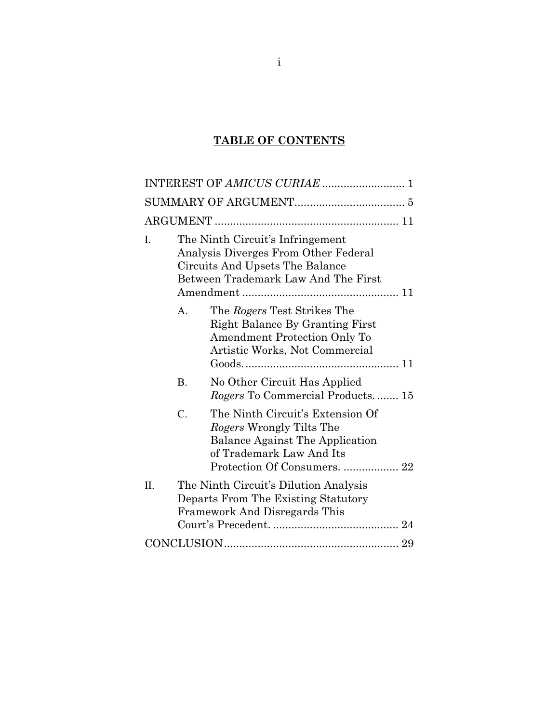## **TABLE OF CONTENTS**

| The Ninth Circuit's Infringement<br>I.<br>Analysis Diverges From Other Federal<br>Circuits And Upsets The Balance<br>Between Trademark Law And The First                       |  |  |  |  |
|--------------------------------------------------------------------------------------------------------------------------------------------------------------------------------|--|--|--|--|
| The Rogers Test Strikes The<br>A.<br>Right Balance By Granting First<br>Amendment Protection Only To<br>Artistic Works, Not Commercial                                         |  |  |  |  |
| <b>B.</b><br>No Other Circuit Has Applied<br><i>Rogers</i> To Commercial Products 15                                                                                           |  |  |  |  |
| The Ninth Circuit's Extension Of<br>$\mathcal{C}$ .<br>Rogers Wrongly Tilts The<br>Balance Against The Application<br>of Trademark Law And Its<br>Protection Of Consumers.  22 |  |  |  |  |
| II.<br>The Ninth Circuit's Dilution Analysis<br>Departs From The Existing Statutory<br>Framework And Disregards This                                                           |  |  |  |  |
|                                                                                                                                                                                |  |  |  |  |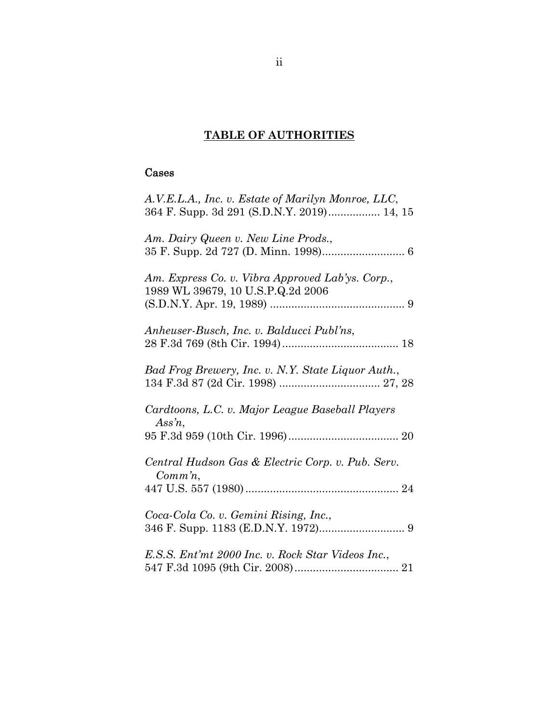# **TABLE OF AUTHORITIES**

# Cases

| A.V.E.L.A., Inc. v. Estate of Marilyn Monroe, LLC,<br>364 F. Supp. 3d 291 (S.D.N.Y. 2019) 14, 15 |
|--------------------------------------------------------------------------------------------------|
| Am. Dairy Queen v. New Line Prods.,                                                              |
| Am. Express Co. v. Vibra Approved Lab'ys. Corp.,<br>1989 WL 39679, 10 U.S.P.Q.2d 2006            |
| Anheuser-Busch, Inc. v. Balducci Publ'ns,                                                        |
| Bad Frog Brewery, Inc. v. N.Y. State Liquor Auth.,                                               |
| Cardtoons, L.C. v. Major League Baseball Players<br>Assn,                                        |
| Central Hudson Gas & Electric Corp. v. Pub. Serv.<br>$Comm\, n$ ,                                |
| Coca-Cola Co. v. Gemini Rising, Inc.,                                                            |
| E.S.S. Ent'mt 2000 Inc. v. Rock Star Videos Inc.,                                                |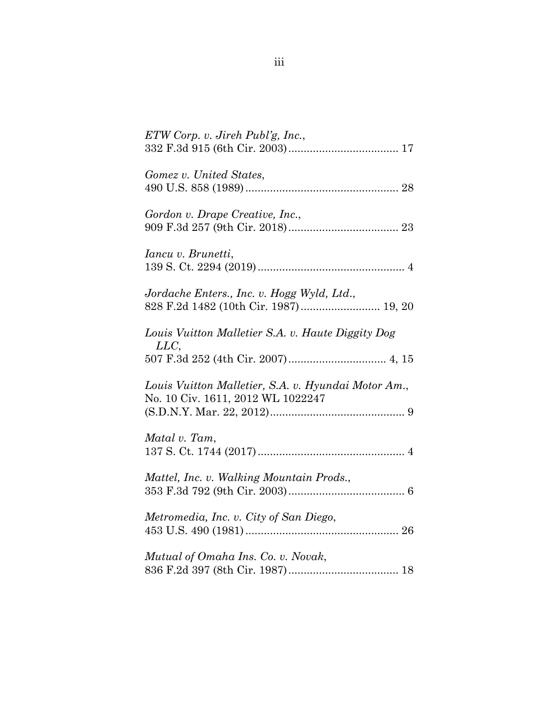| $ETW$ Corp. v. Jireh Publ'g, Inc.,                                                       |
|------------------------------------------------------------------------------------------|
| Gomez v. United States,                                                                  |
| Gordon v. Drape Creative, Inc.,                                                          |
| Iancu v. Brunetti,                                                                       |
| Jordache Enters., Inc. v. Hogg Wyld, Ltd.,                                               |
| Louis Vuitton Malletier S.A. v. Haute Diggity Dog<br>LLC                                 |
| Louis Vuitton Malletier, S.A. v. Hyundai Motor Am.,<br>No. 10 Civ. 1611, 2012 WL 1022247 |
| Matal v. Tam,                                                                            |
| Mattel, Inc. v. Walking Mountain Prods.,                                                 |
| Metromedia, Inc. v. City of San Diego,                                                   |
| Mutual of Omaha Ins. Co. v. Novak,                                                       |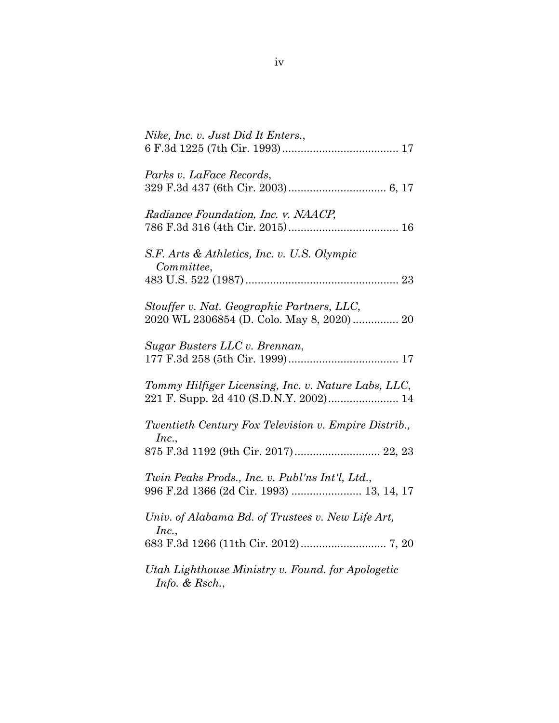| Nike, Inc. v. Just Did It Enters.,                                                          |
|---------------------------------------------------------------------------------------------|
| Parks v. LaFace Records,                                                                    |
| Radiance Foundation, Inc. v. NAACP,                                                         |
| S.F. Arts & Athletics, Inc. v. U.S. Olympic<br>Committee,                                   |
|                                                                                             |
| Stouffer v. Nat. Geographic Partners, LLC,<br>2020 WL 2306854 (D. Colo. May 8, 2020) 20     |
| Sugar Busters LLC v. Brennan,                                                               |
| Tommy Hilfiger Licensing, Inc. v. Nature Labs, LLC,                                         |
| Twentieth Century Fox Television v. Empire Distrib.,<br>Inc.                                |
| 875 F.3d 1192 (9th Cir. 2017) 22, 23                                                        |
| Twin Peaks Prods., Inc. v. Publ'ns Int'l, Ltd.,<br>996 F.2d 1366 (2d Cir. 1993)  13, 14, 17 |
| Univ. of Alabama Bd. of Trustees v. New Life Art,<br>Inc.,                                  |
|                                                                                             |
| Utah Lighthouse Ministry v. Found. for Apologetic<br>Info. & Rsch.,                         |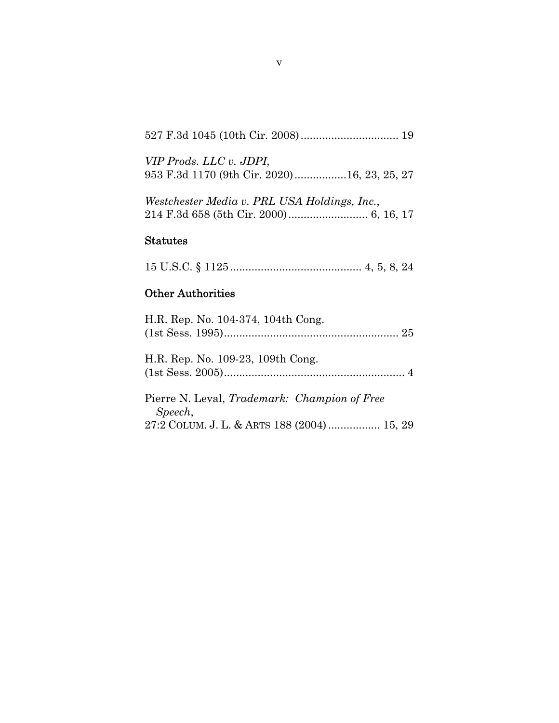|--|--|--|--|--|--|--|--|

| VIP Prods. LLC v. JDPI,                     |  |  |
|---------------------------------------------|--|--|
| 953 F.3d 1170 (9th Cir. 2020)16, 23, 25, 27 |  |  |

*Westchester Media v. PRL USA Holdings, Inc.*, 214 F.3d 658 (5th Cir. 2000) .......................... 6, 16, 17

### Statutes

|--|--|--|--|--|--|--|--|

# Other Authorities

| H.R. Rep. No. 104-374, 104th Cong.                  |
|-----------------------------------------------------|
|                                                     |
|                                                     |
| H.R. Rep. No. 109-23, 109th Cong.                   |
|                                                     |
|                                                     |
| Pierre N. Leval, <i>Trademark: Champion of Free</i> |
| Speech,                                             |
| 27:2 COLUM. J. L. & ARTS 188 (2004)  15, 29         |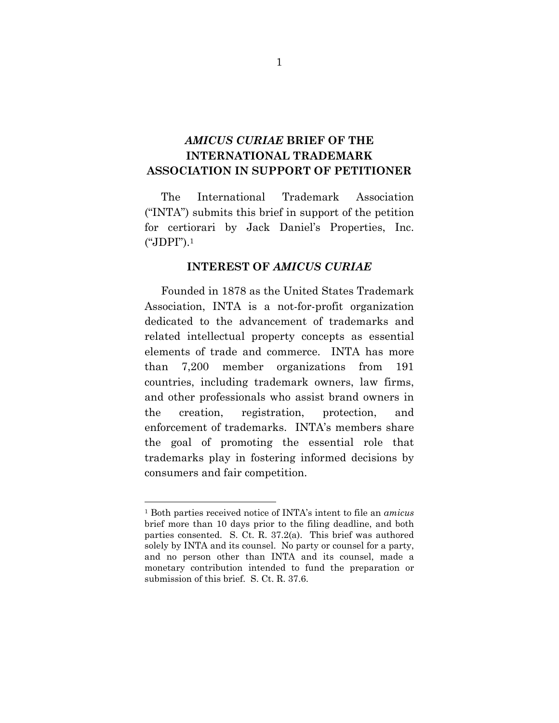## *AMICUS CURIAE* **BRIEF OF THE INTERNATIONAL TRADEMARK ASSOCIATION IN SUPPORT OF PETITIONER**

The International Trademark Association ("INTA") submits this brief in support of the petition for certiorari by Jack Daniel's Properties, Inc. ("JDPI").1

#### **INTEREST OF** *AMICUS CURIAE*

Founded in 1878 as the United States Trademark Association, INTA is a not-for-profit organization dedicated to the advancement of trademarks and related intellectual property concepts as essential elements of trade and commerce. INTA has more than 7,200 member organizations from 191 countries, including trademark owners, law firms, and other professionals who assist brand owners in the creation, registration, protection, and enforcement of trademarks. INTA's members share the goal of promoting the essential role that trademarks play in fostering informed decisions by consumers and fair competition.

<sup>1</sup> Both parties received notice of INTA's intent to file an *amicus*  brief more than 10 days prior to the filing deadline, and both parties consented. S. Ct. R. 37.2(a). This brief was authored solely by INTA and its counsel. No party or counsel for a party, and no person other than INTA and its counsel, made a monetary contribution intended to fund the preparation or submission of this brief. S. Ct. R. 37.6.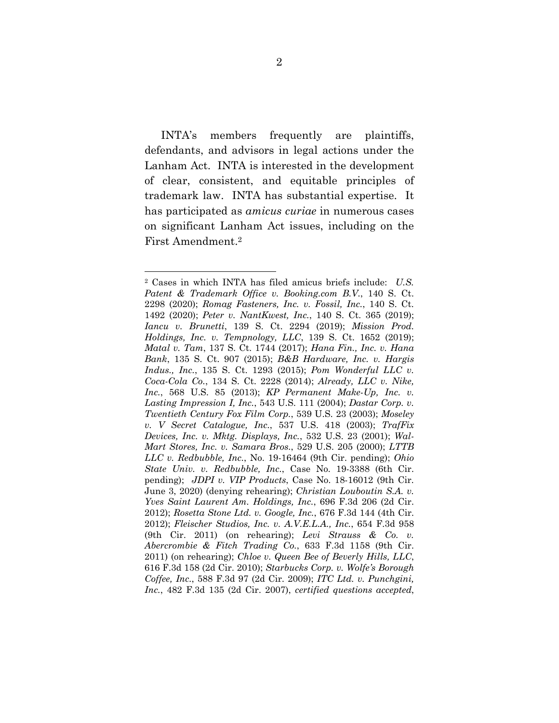INTA's members frequently are plaintiffs, defendants, and advisors in legal actions under the Lanham Act. INTA is interested in the development of clear, consistent, and equitable principles of trademark law. INTA has substantial expertise. It has participated as *amicus curiae* in numerous cases on significant Lanham Act issues, including on the First Amendment.2

<sup>2</sup> Cases in which INTA has filed amicus briefs include: *U.S. Patent & Trademark Office v. Booking.com B.V.*, 140 S. Ct. 2298 (2020); *Romag Fasteners, Inc. v. Fossil, Inc.*, 140 S. Ct. 1492 (2020); *Peter v. NantKwest, Inc.*, 140 S. Ct. 365 (2019); *Iancu v. Brunetti*, 139 S. Ct. 2294 (2019); *Mission Prod. Holdings, Inc. v. Tempnology, LLC*, 139 S. Ct. 1652 (2019); *Matal v. Tam*, 137 S. Ct. 1744 (2017); *Hana Fin., Inc. v. Hana Bank*, 135 S. Ct. 907 (2015); *B&B Hardware, Inc. v. Hargis Indus., Inc.*, 135 S. Ct. 1293 (2015); *Pom Wonderful LLC v. Coca-Cola Co.*, 134 S. Ct. 2228 (2014); *Already, LLC v. Nike, Inc.*, 568 U.S. 85 (2013); *KP Permanent Make-Up, Inc. v. Lasting Impression I, Inc.*, 543 U.S. 111 (2004); *Dastar Corp. v. Twentieth Century Fox Film Corp.*, 539 U.S. 23 (2003); *Moseley v. V Secret Catalogue, Inc.*, 537 U.S. 418 (2003); *TrafFix Devices, Inc. v. Mktg. Displays, Inc.*, 532 U.S. 23 (2001); *Wal-Mart Stores, Inc. v. Samara Bros.*, 529 U.S. 205 (2000); *LTTB LLC v. Redbubble, Inc.*, No. 19-16464 (9th Cir. pending); *Ohio State Univ. v. Redbubble, Inc.*, Case No. 19-3388 (6th Cir. pending); *JDPI v. VIP Products*, Case No. 18-16012 (9th Cir. June 3, 2020) (denying rehearing); *Christian Louboutin S.A. v. Yves Saint Laurent Am. Holdings, Inc.*, 696 F.3d 206 (2d Cir. 2012); *Rosetta Stone Ltd. v. Google, Inc.*, 676 F.3d 144 (4th Cir. 2012); *Fleischer Studios, Inc. v. A.V.E.L.A., Inc.*, 654 F.3d 958 (9th Cir. 2011) (on rehearing); *Levi Strauss & Co. v. Abercrombie & Fitch Trading Co.*, 633 F.3d 1158 (9th Cir. 2011) (on rehearing); *Chloe v. Queen Bee of Beverly Hills, LLC*, 616 F.3d 158 (2d Cir. 2010); *Starbucks Corp. v. Wolfe's Borough Coffee, Inc.*, 588 F.3d 97 (2d Cir. 2009); *ITC Ltd. v. Punchgini, Inc.*, 482 F.3d 135 (2d Cir. 2007), *certified questions accepted*,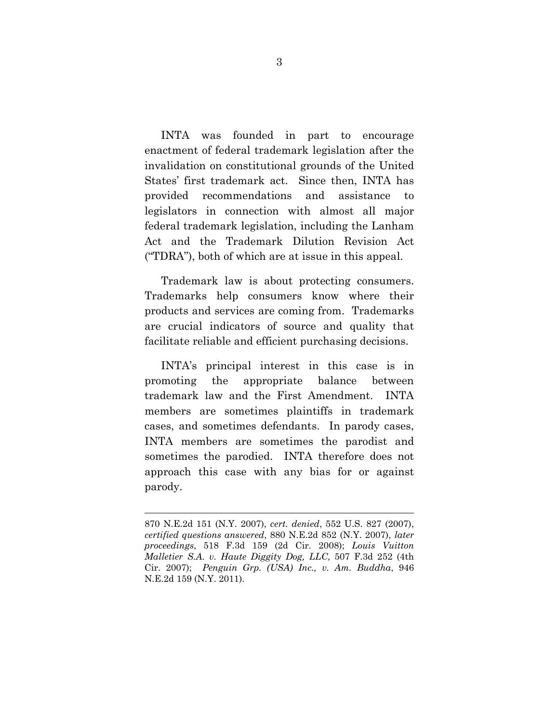INTA was founded in part to encourage enactment of federal trademark legislation after the invalidation on constitutional grounds of the United States' first trademark act. Since then, INTA has provided recommendations and assistance to legislators in connection with almost all major federal trademark legislation, including the Lanham Act and the Trademark Dilution Revision Act ("TDRA"), both of which are at issue in this appeal.

Trademark law is about protecting consumers. Trademarks help consumers know where their products and services are coming from. Trademarks are crucial indicators of source and quality that facilitate reliable and efficient purchasing decisions.

INTA's principal interest in this case is in promoting the appropriate balance between trademark law and the First Amendment. INTA members are sometimes plaintiffs in trademark cases, and sometimes defendants. In parody cases, INTA members are sometimes the parodist and sometimes the parodied. INTA therefore does not approach this case with any bias for or against parody.

<sup>870</sup> N.E.2d 151 (N.Y. 2007), *cert. denied*, 552 U.S. 827 (2007), *certified questions answered*, 880 N.E.2d 852 (N.Y. 2007), *later proceedings*, 518 F.3d 159 (2d Cir. 2008); *Louis Vuitton Malletier S.A. v. Haute Diggity Dog, LLC,* 507 F.3d 252 (4th Cir. 2007); *Penguin Grp. (USA) Inc., v. Am. Buddha*, 946 N.E.2d 159 (N.Y. 2011).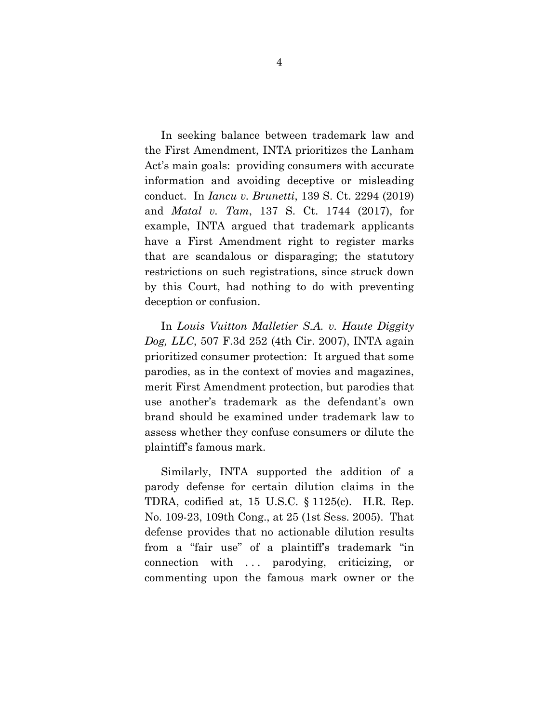In seeking balance between trademark law and the First Amendment, INTA prioritizes the Lanham Act's main goals: providing consumers with accurate information and avoiding deceptive or misleading conduct. In *Iancu v. Brunetti*, 139 S. Ct. 2294 (2019) and *Matal v. Tam*, 137 S. Ct. 1744 (2017), for example, INTA argued that trademark applicants have a First Amendment right to register marks that are scandalous or disparaging; the statutory restrictions on such registrations, since struck down by this Court, had nothing to do with preventing deception or confusion.

In *Louis Vuitton Malletier S.A. v. Haute Diggity Dog, LLC*, 507 F.3d 252 (4th Cir. 2007), INTA again prioritized consumer protection: It argued that some parodies, as in the context of movies and magazines, merit First Amendment protection, but parodies that use another's trademark as the defendant's own brand should be examined under trademark law to assess whether they confuse consumers or dilute the plaintiff's famous mark.

Similarly, INTA supported the addition of a parody defense for certain dilution claims in the TDRA, codified at, 15 U.S.C. § 1125(c). H.R. Rep. No. 109-23, 109th Cong., at 25 (1st Sess. 2005). That defense provides that no actionable dilution results from a "fair use" of a plaintiff's trademark "in connection with ... parodying, criticizing, or commenting upon the famous mark owner or the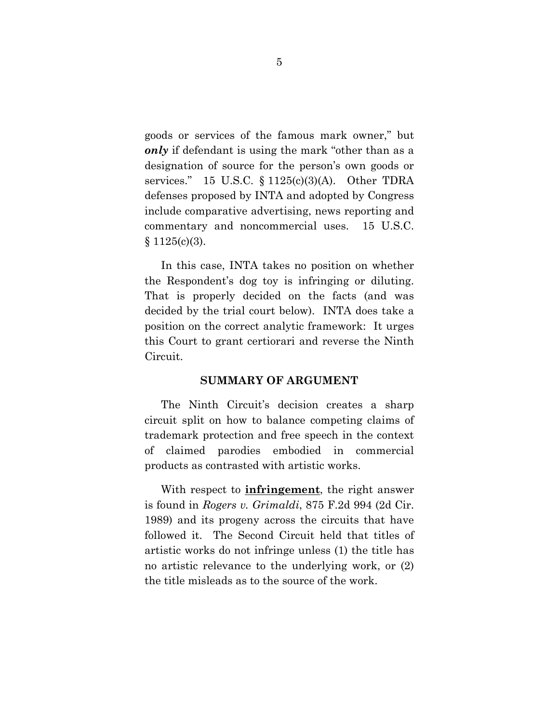goods or services of the famous mark owner," but *only* if defendant is using the mark "other than as a designation of source for the person's own goods or services." 15 U.S.C. § 1125(c)(3)(A). Other TDRA defenses proposed by INTA and adopted by Congress include comparative advertising, news reporting and commentary and noncommercial uses. 15 U.S.C.  $§ 1125(c)(3).$ 

In this case, INTA takes no position on whether the Respondent's dog toy is infringing or diluting. That is properly decided on the facts (and was decided by the trial court below). INTA does take a position on the correct analytic framework: It urges this Court to grant certiorari and reverse the Ninth Circuit.

#### **SUMMARY OF ARGUMENT**

The Ninth Circuit's decision creates a sharp circuit split on how to balance competing claims of trademark protection and free speech in the context of claimed parodies embodied in commercial products as contrasted with artistic works.

With respect to **infringement**, the right answer is found in *Rogers v. Grimaldi*, 875 F.2d 994 (2d Cir. 1989) and its progeny across the circuits that have followed it. The Second Circuit held that titles of artistic works do not infringe unless (1) the title has no artistic relevance to the underlying work, or (2) the title misleads as to the source of the work.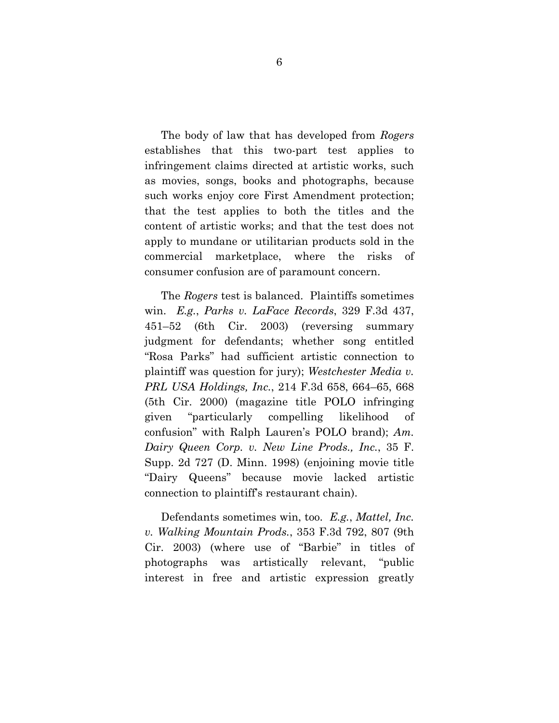The body of law that has developed from *Rogers* establishes that this two-part test applies to infringement claims directed at artistic works, such as movies, songs, books and photographs, because such works enjoy core First Amendment protection; that the test applies to both the titles and the content of artistic works; and that the test does not apply to mundane or utilitarian products sold in the commercial marketplace, where the risks of consumer confusion are of paramount concern.

The *Rogers* test is balanced. Plaintiffs sometimes win. *E.g.*, *Parks v. LaFace Records*, 329 F.3d 437, 451–52 (6th Cir. 2003) (reversing summary judgment for defendants; whether song entitled "Rosa Parks" had sufficient artistic connection to plaintiff was question for jury); *Westchester Media v. PRL USA Holdings, Inc.*, 214 F.3d 658, 664–65, 668 (5th Cir. 2000) (magazine title POLO infringing given "particularly compelling likelihood of confusion" with Ralph Lauren's POLO brand); *Am. Dairy Queen Corp. v. New Line Prods., Inc.*, 35 F. Supp. 2d 727 (D. Minn. 1998) (enjoining movie title "Dairy Queens" because movie lacked artistic connection to plaintiff's restaurant chain).

Defendants sometimes win, too. *E.g.*, *Mattel, Inc. v. Walking Mountain Prods.*, 353 F.3d 792, 807 (9th Cir. 2003) (where use of "Barbie" in titles of photographs was artistically relevant, "public interest in free and artistic expression greatly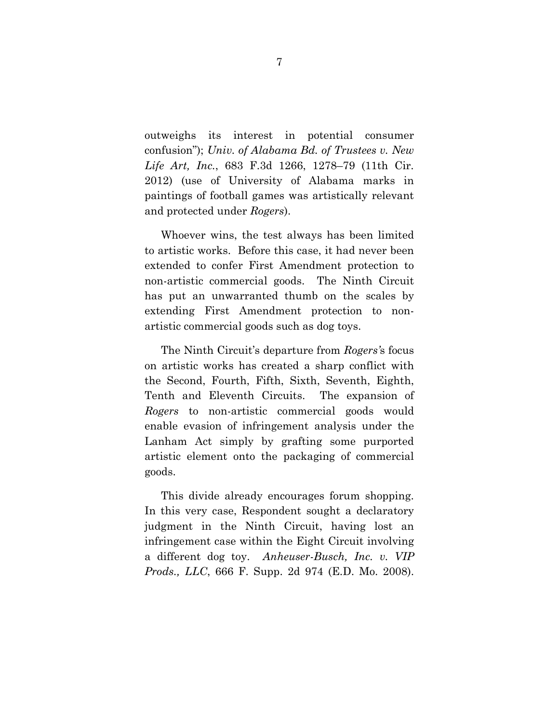outweighs its interest in potential consumer confusion"); *Univ. of Alabama Bd. of Trustees v. New Life Art, Inc.*, 683 F.3d 1266, 1278–79 (11th Cir. 2012) (use of University of Alabama marks in paintings of football games was artistically relevant and protected under *Rogers*).

Whoever wins, the test always has been limited to artistic works. Before this case, it had never been extended to confer First Amendment protection to non-artistic commercial goods. The Ninth Circuit has put an unwarranted thumb on the scales by extending First Amendment protection to nonartistic commercial goods such as dog toys.

The Ninth Circuit's departure from *Rogers'*s focus on artistic works has created a sharp conflict with the Second, Fourth, Fifth, Sixth, Seventh, Eighth, Tenth and Eleventh Circuits. The expansion of *Rogers* to non-artistic commercial goods would enable evasion of infringement analysis under the Lanham Act simply by grafting some purported artistic element onto the packaging of commercial goods.

This divide already encourages forum shopping. In this very case, Respondent sought a declaratory judgment in the Ninth Circuit, having lost an infringement case within the Eight Circuit involving a different dog toy. *Anheuser-Busch, Inc. v. VIP Prods., LLC*, 666 F. Supp. 2d 974 (E.D. Mo. 2008).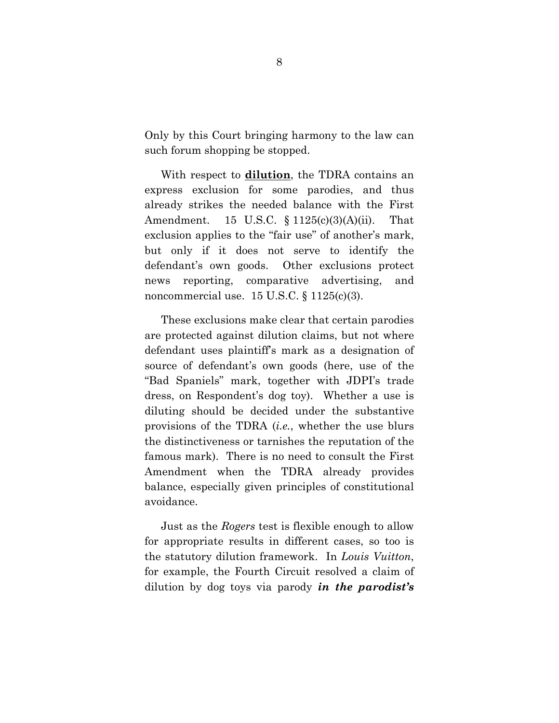Only by this Court bringing harmony to the law can such forum shopping be stopped.

With respect to **dilution**, the TDRA contains an express exclusion for some parodies, and thus already strikes the needed balance with the First Amendment. 15 U.S.C. § 1125(c)(3)(A)(ii). That exclusion applies to the "fair use" of another's mark, but only if it does not serve to identify the defendant's own goods. Other exclusions protect news reporting, comparative advertising, and noncommercial use.  $15 \text{ U.S.C.} \$   $1125(c)(3)$ .

These exclusions make clear that certain parodies are protected against dilution claims, but not where defendant uses plaintiff's mark as a designation of source of defendant's own goods (here, use of the "Bad Spaniels" mark, together with JDPI's trade dress, on Respondent's dog toy). Whether a use is diluting should be decided under the substantive provisions of the TDRA (*i.e.*, whether the use blurs the distinctiveness or tarnishes the reputation of the famous mark). There is no need to consult the First Amendment when the TDRA already provides balance, especially given principles of constitutional avoidance.

Just as the *Rogers* test is flexible enough to allow for appropriate results in different cases, so too is the statutory dilution framework. In *Louis Vuitton*, for example, the Fourth Circuit resolved a claim of dilution by dog toys via parody *in the parodist's*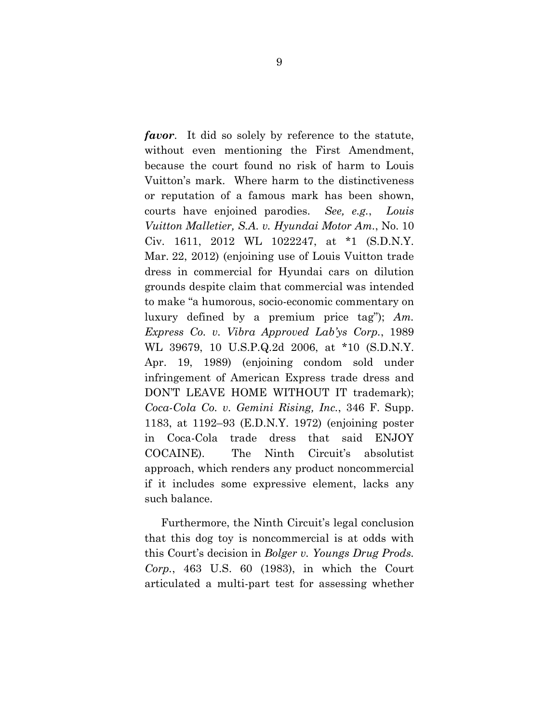*favor*. It did so solely by reference to the statute, without even mentioning the First Amendment, because the court found no risk of harm to Louis Vuitton's mark. Where harm to the distinctiveness or reputation of a famous mark has been shown, courts have enjoined parodies. *See, e.g.*, *Louis Vuitton Malletier, S.A. v. Hyundai Motor Am.*, No. 10 Civ. 1611, 2012 WL 1022247, at \*1 (S.D.N.Y. Mar. 22, 2012) (enjoining use of Louis Vuitton trade dress in commercial for Hyundai cars on dilution grounds despite claim that commercial was intended to make "a humorous, socio-economic commentary on luxury defined by a premium price tag"); *Am. Express Co. v. Vibra Approved Lab'ys Corp.*, 1989 WL 39679, 10 U.S.P.Q.2d 2006, at \*10 (S.D.N.Y. Apr. 19, 1989) (enjoining condom sold under infringement of American Express trade dress and DON'T LEAVE HOME WITHOUT IT trademark); *Coca-Cola Co. v. Gemini Rising, Inc.*, 346 F. Supp. 1183, at 1192–93 (E.D.N.Y. 1972) (enjoining poster in Coca-Cola trade dress that said ENJOY COCAINE). The Ninth Circuit's absolutist approach, which renders any product noncommercial if it includes some expressive element, lacks any such balance.

Furthermore, the Ninth Circuit's legal conclusion that this dog toy is noncommercial is at odds with this Court's decision in *Bolger v. Youngs Drug Prods. Corp.*, 463 U.S. 60 (1983), in which the Court articulated a multi-part test for assessing whether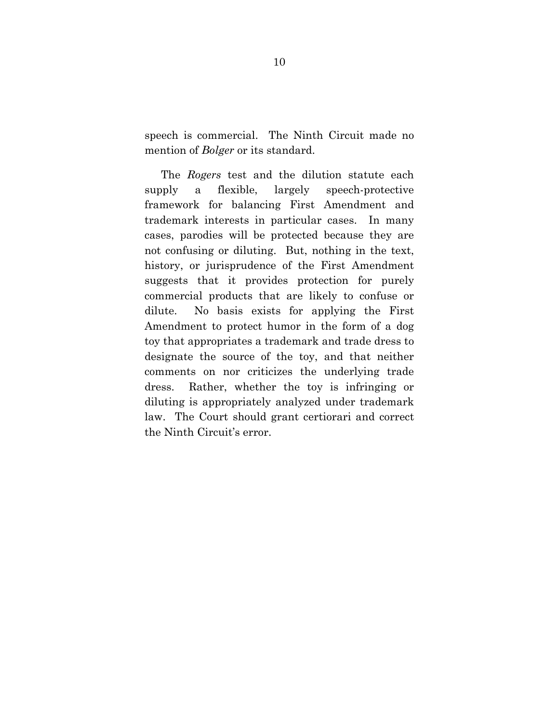speech is commercial. The Ninth Circuit made no mention of *Bolger* or its standard.

The *Rogers* test and the dilution statute each supply a flexible, largely speech-protective framework for balancing First Amendment and trademark interests in particular cases. In many cases, parodies will be protected because they are not confusing or diluting. But, nothing in the text, history, or jurisprudence of the First Amendment suggests that it provides protection for purely commercial products that are likely to confuse or dilute. No basis exists for applying the First Amendment to protect humor in the form of a dog toy that appropriates a trademark and trade dress to designate the source of the toy, and that neither comments on nor criticizes the underlying trade dress. Rather, whether the toy is infringing or diluting is appropriately analyzed under trademark law. The Court should grant certiorari and correct the Ninth Circuit's error.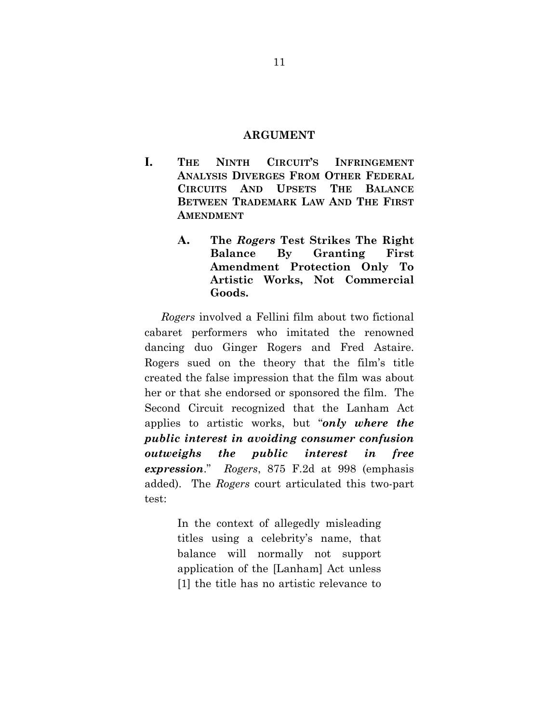#### **ARGUMENT**

- **I. THE NINTH CIRCUIT'S INFRINGEMENT ANALYSIS DIVERGES FROM OTHER FEDERAL CIRCUITS AND UPSETS THE BALANCE BETWEEN TRADEMARK LAW AND THE FIRST AMENDMENT**
	- **A. The** *Rogers* **Test Strikes The Right Balance By Granting First Amendment Protection Only To Artistic Works, Not Commercial Goods.**

*Rogers* involved a Fellini film about two fictional cabaret performers who imitated the renowned dancing duo Ginger Rogers and Fred Astaire. Rogers sued on the theory that the film's title created the false impression that the film was about her or that she endorsed or sponsored the film. The Second Circuit recognized that the Lanham Act applies to artistic works, but "*only where the public interest in avoiding consumer confusion outweighs the public interest in free expression*." *Rogers*, 875 F.2d at 998 (emphasis added). The *Rogers* court articulated this two-part test:

> In the context of allegedly misleading titles using a celebrity's name, that balance will normally not support application of the [Lanham] Act unless [1] the title has no artistic relevance to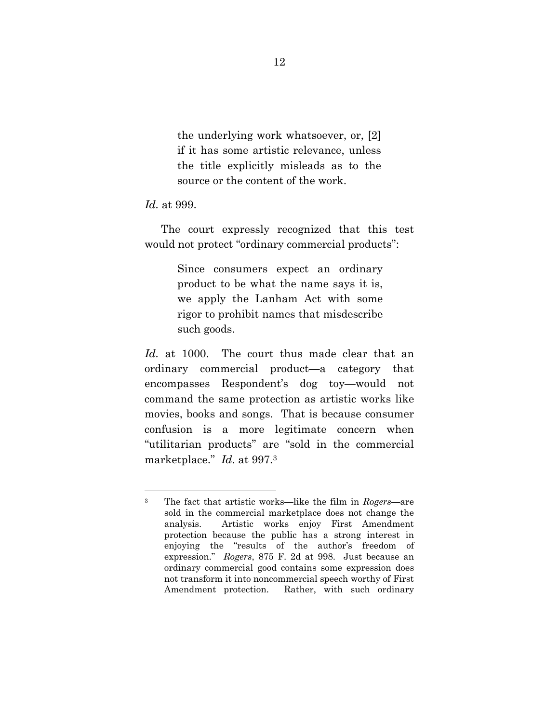the underlying work whatsoever, or, [2] if it has some artistic relevance, unless the title explicitly misleads as to the source or the content of the work.

#### *Id.* at 999.

The court expressly recognized that this test would not protect "ordinary commercial products":

> Since consumers expect an ordinary product to be what the name says it is, we apply the Lanham Act with some rigor to prohibit names that misdescribe such goods.

*Id.* at 1000. The court thus made clear that an ordinary commercial product—a category that encompasses Respondent's dog toy—would not command the same protection as artistic works like movies, books and songs. That is because consumer confusion is a more legitimate concern when "utilitarian products" are "sold in the commercial marketplace." *Id.* at 997.3

<sup>3</sup> The fact that artistic works—like the film in *Rogers*—are sold in the commercial marketplace does not change the analysis. Artistic works enjoy First Amendment protection because the public has a strong interest in enjoying the "results of the author's freedom of expression." *Rogers*, 875 F. 2d at 998. Just because an ordinary commercial good contains some expression does not transform it into noncommercial speech worthy of First Amendment protection. Rather, with such ordinary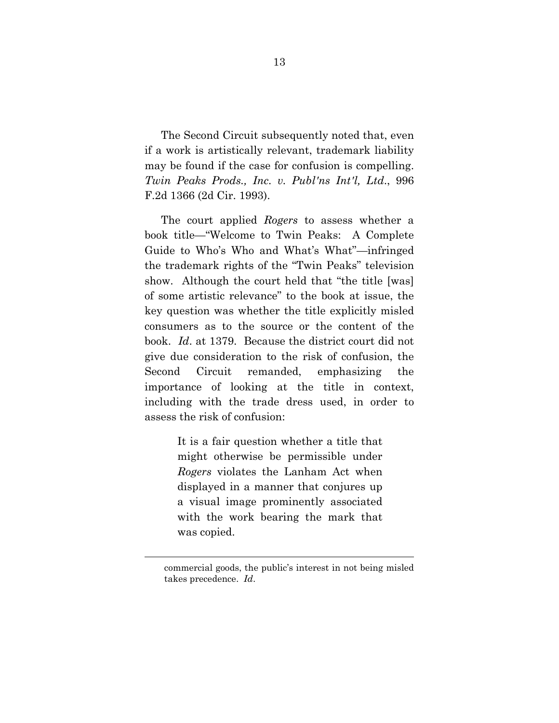The Second Circuit subsequently noted that, even if a work is artistically relevant, trademark liability may be found if the case for confusion is compelling. *Twin Peaks Prods., Inc. v. Publ'ns Int'l, Ltd*., 996 F.2d 1366 (2d Cir. 1993).

The court applied *Rogers* to assess whether a book title—"Welcome to Twin Peaks: A Complete Guide to Who's Who and What's What"—infringed the trademark rights of the "Twin Peaks" television show. Although the court held that "the title [was] of some artistic relevance" to the book at issue, the key question was whether the title explicitly misled consumers as to the source or the content of the book. *Id*. at 1379. Because the district court did not give due consideration to the risk of confusion, the Second Circuit remanded, emphasizing the importance of looking at the title in context, including with the trade dress used, in order to assess the risk of confusion:

> It is a fair question whether a title that might otherwise be permissible under *Rogers* violates the Lanham Act when displayed in a manner that conjures up a visual image prominently associated with the work bearing the mark that was copied.

commercial goods, the public's interest in not being misled takes precedence. *Id*.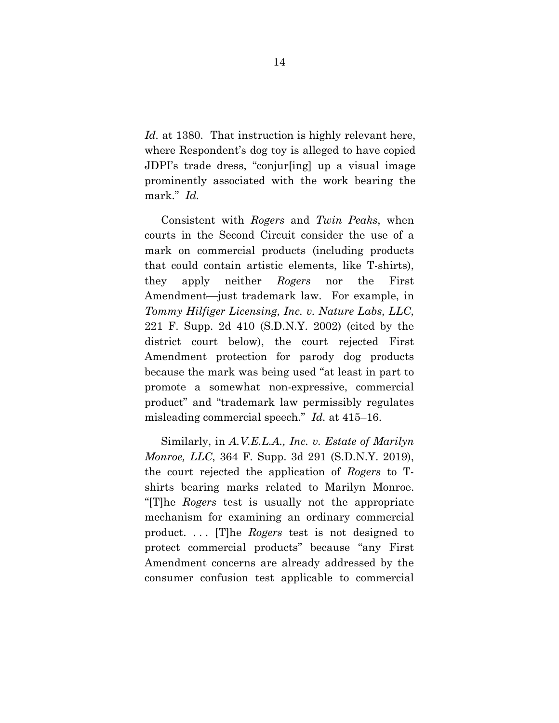*Id.* at 1380. That instruction is highly relevant here, where Respondent's dog toy is alleged to have copied JDPI's trade dress, "conjur[ing] up a visual image prominently associated with the work bearing the mark." *Id.*

Consistent with *Rogers* and *Twin Peaks*, when courts in the Second Circuit consider the use of a mark on commercial products (including products that could contain artistic elements, like T-shirts), they apply neither *Rogers* nor the First Amendment—just trademark law. For example, in *Tommy Hilfiger Licensing, Inc. v. Nature Labs, LLC*, 221 F. Supp. 2d 410 (S.D.N.Y. 2002) (cited by the district court below), the court rejected First Amendment protection for parody dog products because the mark was being used "at least in part to promote a somewhat non-expressive, commercial product" and "trademark law permissibly regulates misleading commercial speech." *Id.* at 415–16.

Similarly, in *A.V.E.L.A., Inc. v. Estate of Marilyn Monroe, LLC*, 364 F. Supp. 3d 291 (S.D.N.Y. 2019), the court rejected the application of *Rogers* to Tshirts bearing marks related to Marilyn Monroe. "[T]he *Rogers* test is usually not the appropriate mechanism for examining an ordinary commercial product. . . . [T]he *Rogers* test is not designed to protect commercial products" because "any First Amendment concerns are already addressed by the consumer confusion test applicable to commercial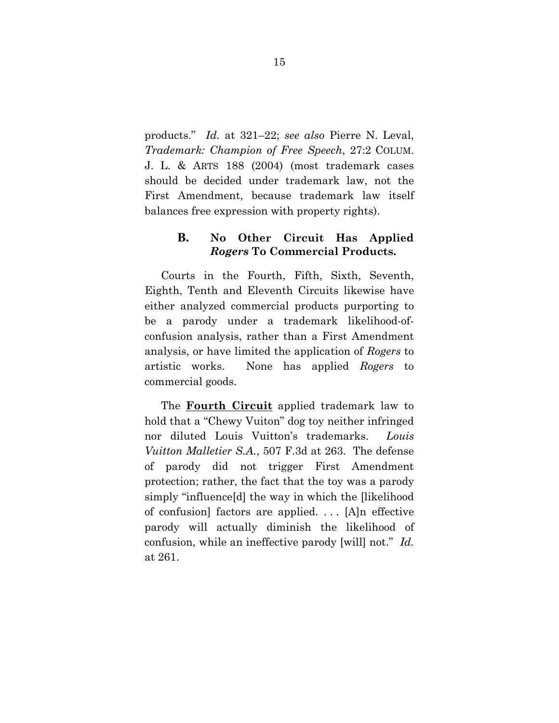products." *Id.* at 321–22; *see also* Pierre N. Leval, *Trademark: Champion of Free Speech*, 27:2 COLUM. J. L. & ARTS 188 (2004) (most trademark cases should be decided under trademark law, not the First Amendment, because trademark law itself balances free expression with property rights).

### **B. No Other Circuit Has Applied**  *Rogers* **To Commercial Products.**

Courts in the Fourth, Fifth, Sixth, Seventh, Eighth, Tenth and Eleventh Circuits likewise have either analyzed commercial products purporting to be a parody under a trademark likelihood-ofconfusion analysis, rather than a First Amendment analysis, or have limited the application of *Rogers* to artistic works. None has applied *Rogers* to commercial goods.

The **Fourth Circuit** applied trademark law to hold that a "Chewy Vuiton" dog toy neither infringed nor diluted Louis Vuitton's trademarks. *Louis Vuitton Malletier S.A.*, 507 F.3d at 263. The defense of parody did not trigger First Amendment protection; rather, the fact that the toy was a parody simply "influence[d] the way in which the [likelihood of confusion] factors are applied. . . . [A]n effective parody will actually diminish the likelihood of confusion, while an ineffective parody [will] not." *Id.* at 261.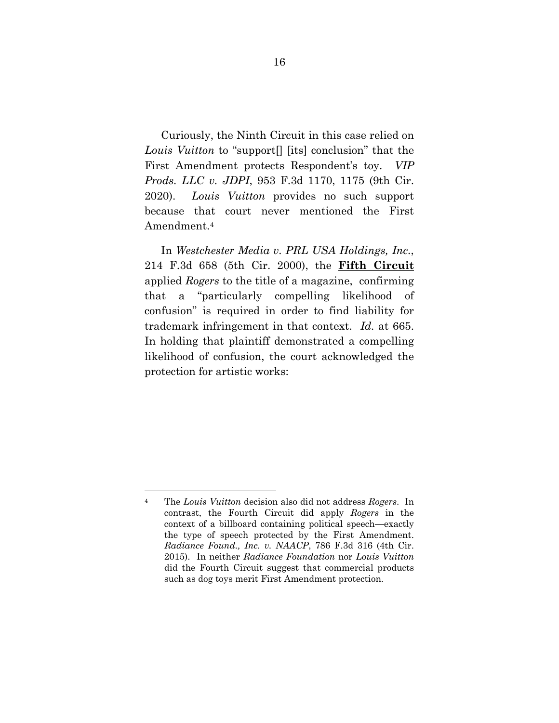Curiously, the Ninth Circuit in this case relied on *Louis Vuitton* to "support[] [its] conclusion" that the First Amendment protects Respondent's toy. *VIP Prods. LLC v. JDPI*, 953 F.3d 1170, 1175 (9th Cir. 2020). *Louis Vuitton* provides no such support because that court never mentioned the First Amendment.4

In *Westchester Media v. PRL USA Holdings, Inc.*, 214 F.3d 658 (5th Cir. 2000), the **Fifth Circuit** applied *Rogers* to the title of a magazine, confirming that a "particularly compelling likelihood of confusion" is required in order to find liability for trademark infringement in that context. *Id.* at 665. In holding that plaintiff demonstrated a compelling likelihood of confusion, the court acknowledged the protection for artistic works:

<sup>4</sup> The *Louis Vuitton* decision also did not address *Rogers*. In contrast, the Fourth Circuit did apply *Rogers* in the context of a billboard containing political speech—exactly the type of speech protected by the First Amendment. *Radiance Found., Inc. v. NAACP*, 786 F.3d 316 (4th Cir. 2015). In neither *Radiance Foundation* nor *Louis Vuitton* did the Fourth Circuit suggest that commercial products such as dog toys merit First Amendment protection.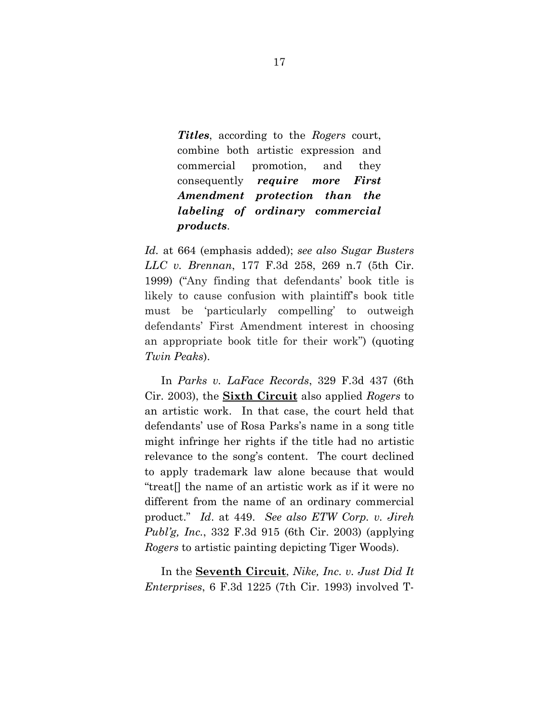*Titles*, according to the *Rogers* court, combine both artistic expression and commercial promotion, and they consequently *require more First Amendment protection than the labeling of ordinary commercial products*.

*Id.* at 664 (emphasis added); *see also Sugar Busters LLC v. Brennan*, 177 F.3d 258, 269 n.7 (5th Cir. 1999) ("Any finding that defendants' book title is likely to cause confusion with plaintiff's book title must be 'particularly compelling' to outweigh defendants' First Amendment interest in choosing an appropriate book title for their work") (quoting *Twin Peaks*).

In *Parks v. LaFace Records*, 329 F.3d 437 (6th Cir. 2003), the **Sixth Circuit** also applied *Rogers* to an artistic work. In that case, the court held that defendants' use of Rosa Parks's name in a song title might infringe her rights if the title had no artistic relevance to the song's content. The court declined to apply trademark law alone because that would "treat[] the name of an artistic work as if it were no different from the name of an ordinary commercial product." *Id*. at 449. *See also ETW Corp. v. Jireh Publ'g, Inc.*, 332 F.3d 915 (6th Cir. 2003) (applying *Rogers* to artistic painting depicting Tiger Woods).

In the **Seventh Circuit**, *Nike, Inc. v. Just Did It Enterprises*, 6 F.3d 1225 (7th Cir. 1993) involved T-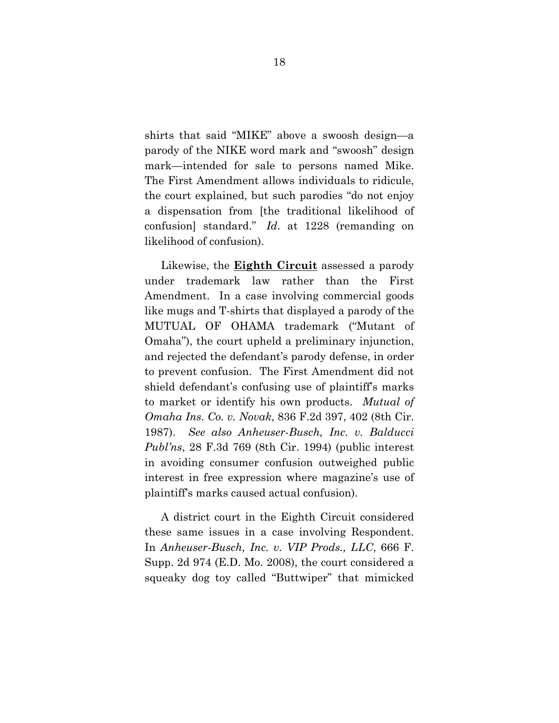shirts that said "MIKE" above a swoosh design—a parody of the NIKE word mark and "swoosh" design mark—intended for sale to persons named Mike. The First Amendment allows individuals to ridicule, the court explained, but such parodies "do not enjoy a dispensation from [the traditional likelihood of confusion] standard." *Id*. at 1228 (remanding on likelihood of confusion).

Likewise, the **Eighth Circuit** assessed a parody under trademark law rather than the First Amendment. In a case involving commercial goods like mugs and T-shirts that displayed a parody of the MUTUAL OF OHAMA trademark ("Mutant of Omaha"), the court upheld a preliminary injunction, and rejected the defendant's parody defense, in order to prevent confusion. The First Amendment did not shield defendant's confusing use of plaintiff's marks to market or identify his own products. *Mutual of Omaha Ins. Co. v. Novak*, 836 F.2d 397, 402 (8th Cir. 1987). *See also Anheuser-Busch, Inc. v. Balducci Publ'ns*, 28 F.3d 769 (8th Cir. 1994) (public interest in avoiding consumer confusion outweighed public interest in free expression where magazine's use of plaintiff's marks caused actual confusion).

A district court in the Eighth Circuit considered these same issues in a case involving Respondent. In *Anheuser-Busch, Inc. v. VIP Prods., LLC*, 666 F. Supp. 2d 974 (E.D. Mo. 2008), the court considered a squeaky dog toy called "Buttwiper" that mimicked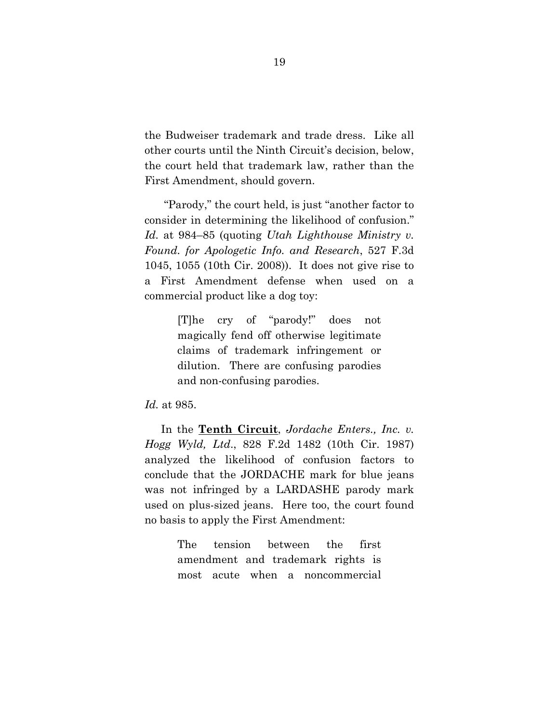the Budweiser trademark and trade dress. Like all other courts until the Ninth Circuit's decision, below, the court held that trademark law, rather than the First Amendment, should govern.

 "Parody," the court held, is just "another factor to consider in determining the likelihood of confusion." *Id.* at 984–85 (quoting *Utah Lighthouse Ministry v. Found. for Apologetic Info. and Research*, 527 F.3d 1045, 1055 (10th Cir. 2008)). It does not give rise to a First Amendment defense when used on a commercial product like a dog toy:

> [T]he cry of "parody!" does not magically fend off otherwise legitimate claims of trademark infringement or dilution. There are confusing parodies and non-confusing parodies.

#### *Id.* at 985.

In the **Tenth Circuit**, *Jordache Enters., Inc. v. Hogg Wyld, Ltd*., 828 F.2d 1482 (10th Cir. 1987) analyzed the likelihood of confusion factors to conclude that the JORDACHE mark for blue jeans was not infringed by a LARDASHE parody mark used on plus-sized jeans. Here too, the court found no basis to apply the First Amendment:

> The tension between the first amendment and trademark rights is most acute when a noncommercial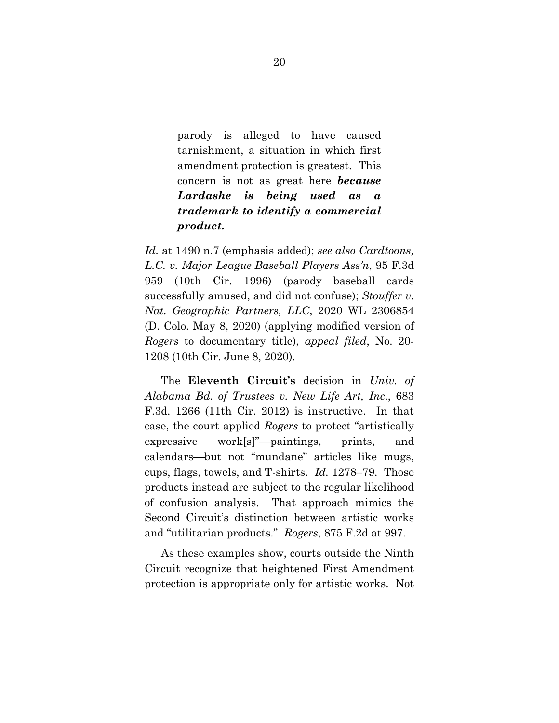parody is alleged to have caused tarnishment, a situation in which first amendment protection is greatest. This concern is not as great here *because Lardashe is being used as a trademark to identify a commercial product.*

*Id.* at 1490 n.7 (emphasis added); *see also Cardtoons, L.C. v. Major League Baseball Players Ass'n*, 95 F.3d 959 (10th Cir. 1996) (parody baseball cards successfully amused, and did not confuse); *Stouffer v. Nat. Geographic Partners, LLC*, 2020 WL 2306854 (D. Colo. May 8, 2020) (applying modified version of *Rogers* to documentary title), *appeal filed*, No. 20- 1208 (10th Cir. June 8, 2020).

The **Eleventh Circuit's** decision in *Univ. of Alabama Bd. of Trustees v. New Life Art, Inc*., 683 F.3d. 1266 (11th Cir. 2012) is instructive. In that case, the court applied *Rogers* to protect "artistically  $e$ xpressive work[s]"—paintings, prints, and calendars—but not "mundane" articles like mugs, cups, flags, towels, and T-shirts. *Id.* 1278–79. Those products instead are subject to the regular likelihood of confusion analysis. That approach mimics the Second Circuit's distinction between artistic works and "utilitarian products." *Rogers*, 875 F.2d at 997.

As these examples show, courts outside the Ninth Circuit recognize that heightened First Amendment protection is appropriate only for artistic works. Not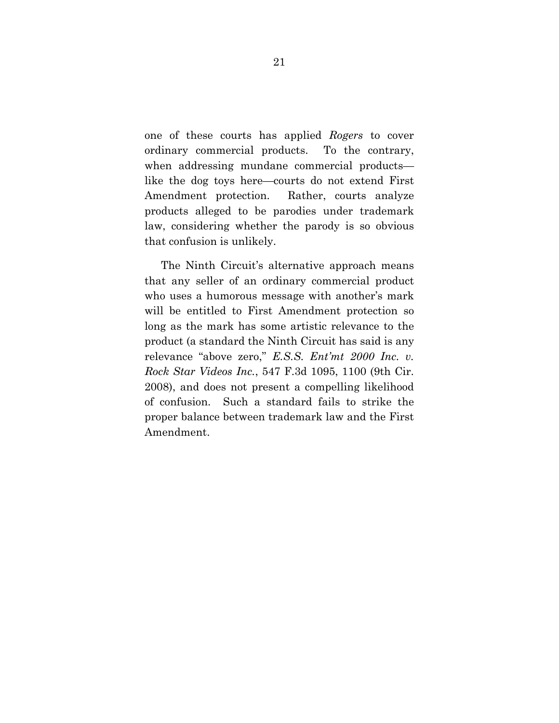one of these courts has applied *Rogers* to cover ordinary commercial products. To the contrary, when addressing mundane commercial products like the dog toys here—courts do not extend First Amendment protection. Rather, courts analyze products alleged to be parodies under trademark law, considering whether the parody is so obvious that confusion is unlikely.

The Ninth Circuit's alternative approach means that any seller of an ordinary commercial product who uses a humorous message with another's mark will be entitled to First Amendment protection so long as the mark has some artistic relevance to the product (a standard the Ninth Circuit has said is any relevance "above zero," *E.S.S. Ent'mt 2000 Inc. v. Rock Star Videos Inc.*, 547 F.3d 1095, 1100 (9th Cir. 2008), and does not present a compelling likelihood of confusion. Such a standard fails to strike the proper balance between trademark law and the First Amendment.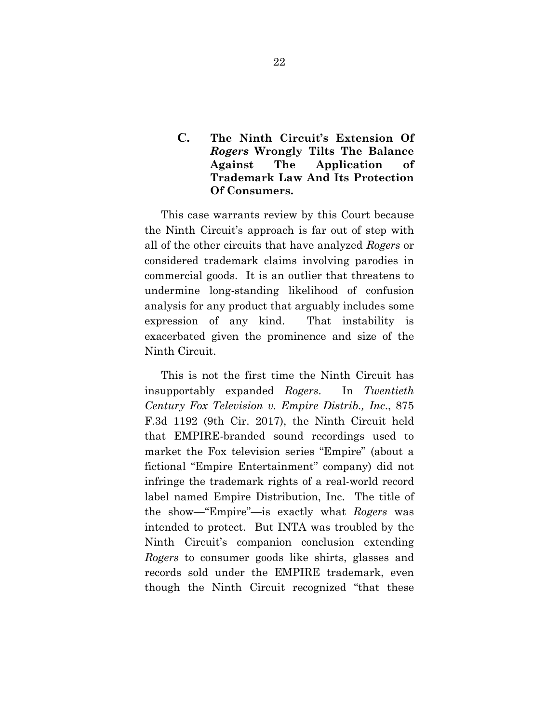## **C. The Ninth Circuit's Extension Of**  *Rogers* **Wrongly Tilts The Balance Against The Application of Trademark Law And Its Protection Of Consumers.**

This case warrants review by this Court because the Ninth Circuit's approach is far out of step with all of the other circuits that have analyzed *Rogers* or considered trademark claims involving parodies in commercial goods. It is an outlier that threatens to undermine long-standing likelihood of confusion analysis for any product that arguably includes some expression of any kind. That instability is exacerbated given the prominence and size of the Ninth Circuit.

This is not the first time the Ninth Circuit has insupportably expanded *Rogers*. In *Twentieth Century Fox Television v. Empire Distrib., Inc*., 875 F.3d 1192 (9th Cir. 2017), the Ninth Circuit held that EMPIRE-branded sound recordings used to market the Fox television series "Empire" (about a fictional "Empire Entertainment" company) did not infringe the trademark rights of a real-world record label named Empire Distribution, Inc. The title of the show—"Empire"—is exactly what *Rogers* was intended to protect. But INTA was troubled by the Ninth Circuit's companion conclusion extending *Rogers* to consumer goods like shirts, glasses and records sold under the EMPIRE trademark, even though the Ninth Circuit recognized "that these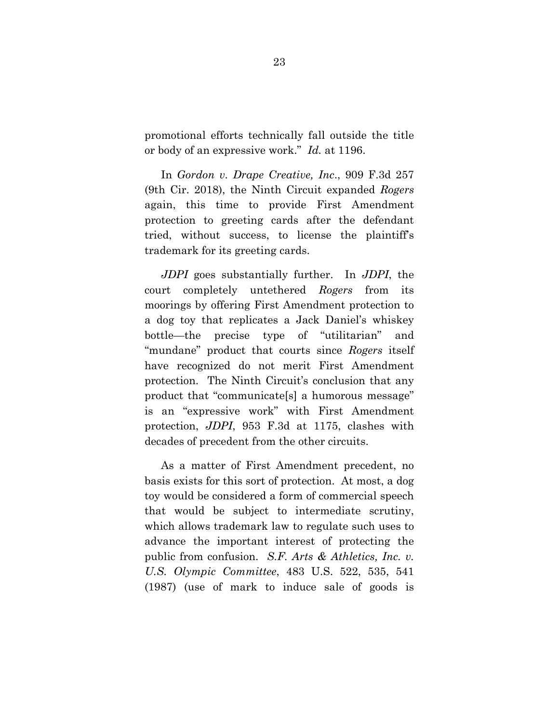promotional efforts technically fall outside the title or body of an expressive work." *Id.* at 1196.

In *Gordon v. Drape Creative, Inc*., 909 F.3d 257 (9th Cir. 2018), the Ninth Circuit expanded *Rogers* again, this time to provide First Amendment protection to greeting cards after the defendant tried, without success, to license the plaintiff's trademark for its greeting cards.

*JDPI* goes substantially further. In *JDPI*, the court completely untethered *Rogers* from its moorings by offering First Amendment protection to a dog toy that replicates a Jack Daniel's whiskey bottle—the precise type of "utilitarian" and "mundane" product that courts since *Rogers* itself have recognized do not merit First Amendment protection. The Ninth Circuit's conclusion that any product that "communicate[s] a humorous message" is an "expressive work" with First Amendment protection, *JDPI*, 953 F.3d at 1175, clashes with decades of precedent from the other circuits.

As a matter of First Amendment precedent, no basis exists for this sort of protection. At most, a dog toy would be considered a form of commercial speech that would be subject to intermediate scrutiny, which allows trademark law to regulate such uses to advance the important interest of protecting the public from confusion. *S.F. Arts & Athletics, Inc. v. U.S. Olympic Committee*, 483 U.S. 522, 535, 541 (1987) (use of mark to induce sale of goods is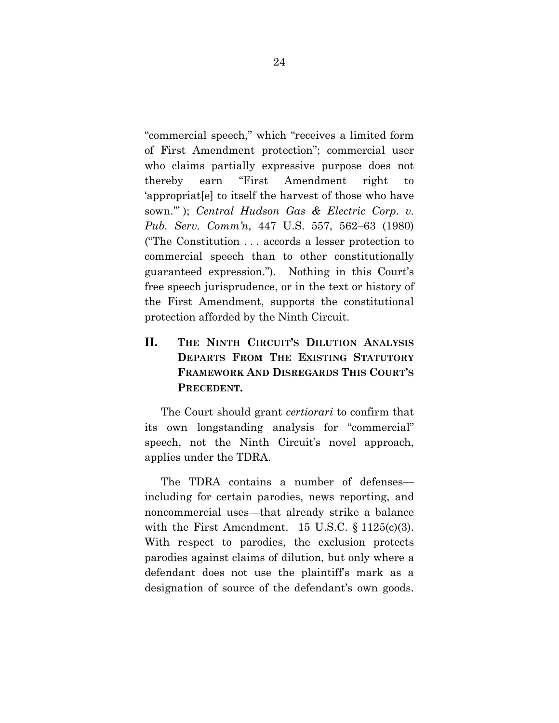"commercial speech," which "receives a limited form of First Amendment protection"; commercial user who claims partially expressive purpose does not thereby earn "First Amendment right to 'appropriat[e] to itself the harvest of those who have sown.'" ); *Central Hudson Gas & Electric Corp. v. Pub. Serv. Comm'n*, 447 U.S. 557, 562–63 (1980) ("The Constitution . . . accords a lesser protection to commercial speech than to other constitutionally guaranteed expression."). Nothing in this Court's free speech jurisprudence, or in the text or history of the First Amendment, supports the constitutional protection afforded by the Ninth Circuit.

# **II. THE NINTH CIRCUIT'S DILUTION ANALYSIS DEPARTS FROM THE EXISTING STATUTORY FRAMEWORK AND DISREGARDS THIS COURT'S PRECEDENT.**

The Court should grant *certiorari* to confirm that its own longstanding analysis for "commercial" speech, not the Ninth Circuit's novel approach, applies under the TDRA.

The TDRA contains a number of defenses including for certain parodies, news reporting, and noncommercial uses—that already strike a balance with the First Amendment. 15 U.S.C.  $\S 1125(c)(3)$ . With respect to parodies, the exclusion protects parodies against claims of dilution, but only where a defendant does not use the plaintiff's mark as a designation of source of the defendant's own goods.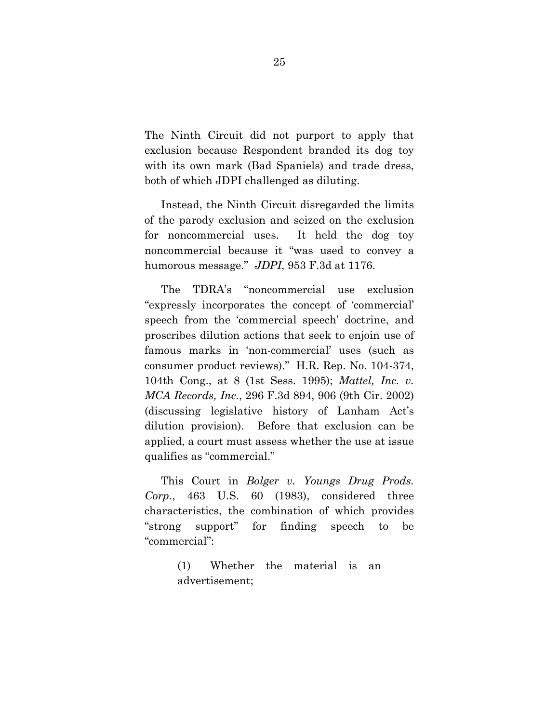The Ninth Circuit did not purport to apply that exclusion because Respondent branded its dog toy with its own mark (Bad Spaniels) and trade dress, both of which JDPI challenged as diluting.

Instead, the Ninth Circuit disregarded the limits of the parody exclusion and seized on the exclusion for noncommercial uses. It held the dog toy noncommercial because it "was used to convey a humorous message." *JDPI*, 953 F.3d at 1176.

The TDRA's "noncommercial use exclusion "expressly incorporates the concept of 'commercial' speech from the 'commercial speech' doctrine, and proscribes dilution actions that seek to enjoin use of famous marks in 'non-commercial' uses (such as consumer product reviews)." H.R. Rep. No. 104-374, 104th Cong., at 8 (1st Sess. 1995); *Mattel, Inc. v. MCA Records, Inc.*, 296 F.3d 894, 906 (9th Cir. 2002) (discussing legislative history of Lanham Act's dilution provision). Before that exclusion can be applied, a court must assess whether the use at issue qualifies as "commercial."

This Court in *Bolger v. Youngs Drug Prods. Corp.*, 463 U.S. 60 (1983), considered three characteristics, the combination of which provides "strong support" for finding speech to be "commercial":

> (1) Whether the material is an advertisement;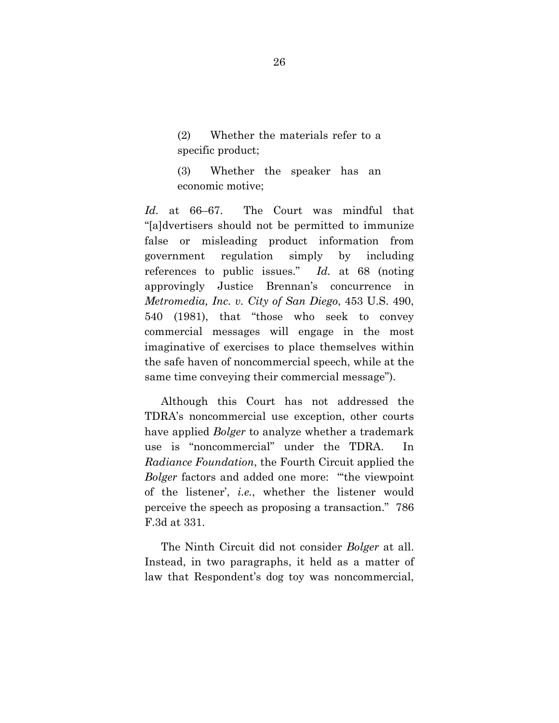(2) Whether the materials refer to a specific product;

(3) Whether the speaker has an economic motive;

*Id.* at 66–67. The Court was mindful that "[a]dvertisers should not be permitted to immunize false or misleading product information from government regulation simply by including references to public issues." *Id.* at 68 (noting approvingly Justice Brennan's concurrence in *Metromedia, Inc. v. City of San Diego*, 453 U.S. 490, 540 (1981), that "those who seek to convey commercial messages will engage in the most imaginative of exercises to place themselves within the safe haven of noncommercial speech, while at the same time conveying their commercial message").

Although this Court has not addressed the TDRA's noncommercial use exception, other courts have applied *Bolger* to analyze whether a trademark use is "noncommercial" under the TDRA. In *Radiance Foundation*, the Fourth Circuit applied the *Bolger* factors and added one more: "'the viewpoint of the listener', *i.e.*, whether the listener would perceive the speech as proposing a transaction." 786 F.3d at 331.

The Ninth Circuit did not consider *Bolger* at all. Instead, in two paragraphs, it held as a matter of law that Respondent's dog toy was noncommercial,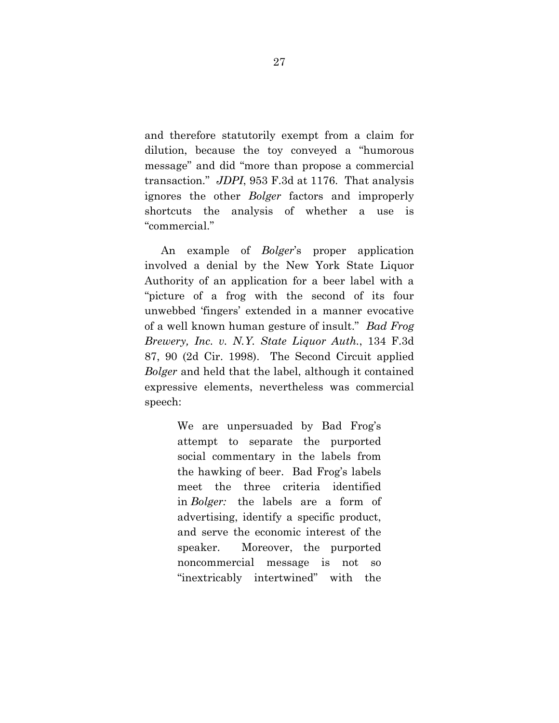and therefore statutorily exempt from a claim for dilution, because the toy conveyed a "humorous message" and did "more than propose a commercial transaction." *JDPI*, 953 F.3d at 1176. That analysis ignores the other *Bolger* factors and improperly shortcuts the analysis of whether a use is "commercial."

An example of *Bolger*'s proper application involved a denial by the New York State Liquor Authority of an application for a beer label with a "picture of a frog with the second of its four unwebbed 'fingers' extended in a manner evocative of a well known human gesture of insult." *Bad Frog Brewery, Inc. v. N.Y. State Liquor Auth.*, 134 F.3d 87, 90 (2d Cir. 1998). The Second Circuit applied *Bolger* and held that the label, although it contained expressive elements, nevertheless was commercial speech:

> We are unpersuaded by Bad Frog's attempt to separate the purported social commentary in the labels from the hawking of beer. Bad Frog's labels meet the three criteria identified in *Bolger:* the labels are a form of advertising, identify a specific product, and serve the economic interest of the speaker. Moreover, the purported noncommercial message is not so "inextricably intertwined" with the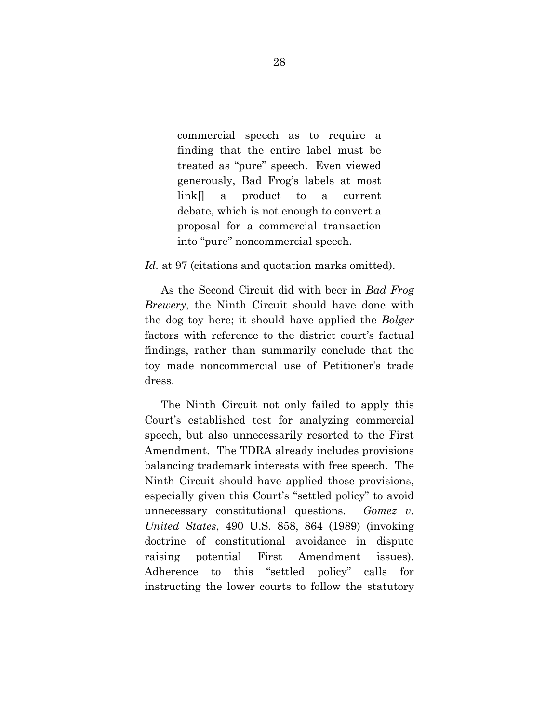commercial speech as to require a finding that the entire label must be treated as "pure" speech. Even viewed generously, Bad Frog's labels at most link[] a product to a current debate, which is not enough to convert a proposal for a commercial transaction into "pure" noncommercial speech.

Id. at 97 (citations and quotation marks omitted).

As the Second Circuit did with beer in *Bad Frog Brewery*, the Ninth Circuit should have done with the dog toy here; it should have applied the *Bolger*  factors with reference to the district court's factual findings, rather than summarily conclude that the toy made noncommercial use of Petitioner's trade dress.

The Ninth Circuit not only failed to apply this Court's established test for analyzing commercial speech, but also unnecessarily resorted to the First Amendment. The TDRA already includes provisions balancing trademark interests with free speech. The Ninth Circuit should have applied those provisions, especially given this Court's "settled policy" to avoid unnecessary constitutional questions. *Gomez v. United States*, 490 U.S. 858, 864 (1989) (invoking doctrine of constitutional avoidance in dispute raising potential First Amendment issues). Adherence to this "settled policy" calls for instructing the lower courts to follow the statutory